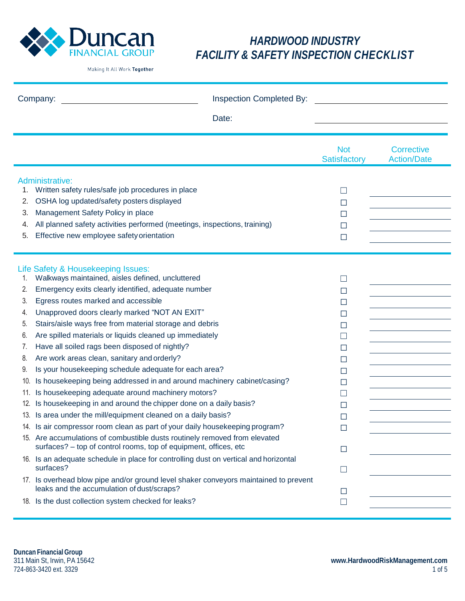

| Inspection Completed By:<br>Company:                                    |                                                                                                                                                                                                                                                                                                                                                                                                                                                                                                                                                                                                                                                                                                                                                                                                                                                                                                                                                                                                                               |                                                                                                                                     |                                         |
|-------------------------------------------------------------------------|-------------------------------------------------------------------------------------------------------------------------------------------------------------------------------------------------------------------------------------------------------------------------------------------------------------------------------------------------------------------------------------------------------------------------------------------------------------------------------------------------------------------------------------------------------------------------------------------------------------------------------------------------------------------------------------------------------------------------------------------------------------------------------------------------------------------------------------------------------------------------------------------------------------------------------------------------------------------------------------------------------------------------------|-------------------------------------------------------------------------------------------------------------------------------------|-----------------------------------------|
|                                                                         | Date:                                                                                                                                                                                                                                                                                                                                                                                                                                                                                                                                                                                                                                                                                                                                                                                                                                                                                                                                                                                                                         |                                                                                                                                     |                                         |
|                                                                         |                                                                                                                                                                                                                                                                                                                                                                                                                                                                                                                                                                                                                                                                                                                                                                                                                                                                                                                                                                                                                               | <b>Not</b><br>Satisfactory                                                                                                          | <b>Corrective</b><br><b>Action/Date</b> |
| 1.<br>2.<br>3.<br>4.<br>5.                                              | Administrative:<br>Written safety rules/safe job procedures in place<br>OSHA log updated/safety posters displayed<br>Management Safety Policy in place<br>All planned safety activities performed (meetings, inspections, training)<br>Effective new employee safety orientation                                                                                                                                                                                                                                                                                                                                                                                                                                                                                                                                                                                                                                                                                                                                              | ப<br>$\Box$<br>□<br>$\Box$<br>$\Box$                                                                                                |                                         |
| 1.<br>2.<br>3.<br>4.<br>5.<br>6.<br>7.<br>8.<br>9.<br>10.<br>11.<br>12. | Life Safety & Housekeeping Issues:<br>Walkways maintained, aisles defined, uncluttered<br>Emergency exits clearly identified, adequate number<br>Egress routes marked and accessible<br>Unapproved doors clearly marked "NOT AN EXIT"<br>Stairs/aisle ways free from material storage and debris<br>Are spilled materials or liquids cleaned up immediately<br>Have all soiled rags been disposed of nightly?<br>Are work areas clean, sanitary and orderly?<br>Is your housekeeping schedule adequate for each area?<br>Is housekeeping being addressed in and around machinery cabinet/casing?<br>Is housekeeping adequate around machinery motors?<br>Is housekeeping in and around the chipper done on a daily basis?<br>13. Is area under the mill/equipment cleaned on a daily basis?<br>14. Is air compressor room clean as part of your daily housekeeping program?<br>15. Are accumulations of combustible dusts routinely removed from elevated<br>surfaces? - top of control rooms, top of equipment, offices, etc | $\Box$<br>$\Box$<br>□<br>$\Box$<br>$\Box$<br>$\Box$<br>$\Box$<br>$\Box$<br>$\Box$<br>$\Box$<br>$\Box$<br>□<br>□<br>$\Box$<br>$\Box$ |                                         |
|                                                                         | 16. Is an adequate schedule in place for controlling dust on vertical and horizontal<br>surfaces?<br>17. Is overhead blow pipe and/or ground level shaker conveyors maintained to prevent<br>leaks and the accumulation of dust/scraps?<br>18. Is the dust collection system checked for leaks?                                                                                                                                                                                                                                                                                                                                                                                                                                                                                                                                                                                                                                                                                                                               | $\Box$<br>⊔<br>П                                                                                                                    |                                         |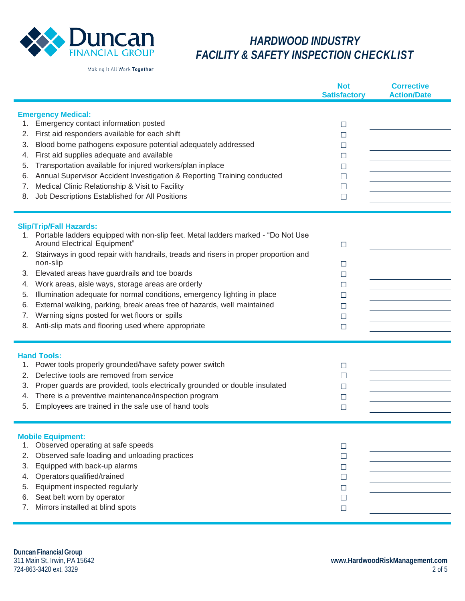

Making It All Work Together

|                                                                                                                                                                                                                                                                                                                                                                                                                                                                                                                                                                                                                                                                           | <b>Not</b><br><b>Satisfactory</b>                   | <b>Corrective</b><br><b>Action/Date</b> |
|---------------------------------------------------------------------------------------------------------------------------------------------------------------------------------------------------------------------------------------------------------------------------------------------------------------------------------------------------------------------------------------------------------------------------------------------------------------------------------------------------------------------------------------------------------------------------------------------------------------------------------------------------------------------------|-----------------------------------------------------|-----------------------------------------|
| <b>Emergency Medical:</b><br>Emergency contact information posted<br>1.<br>First aid responders available for each shift<br>2.<br>Blood borne pathogens exposure potential adequately addressed<br>3.<br>First aid supplies adequate and available<br>4.<br>Transportation available for injured workers/plan in place<br>5.<br>Annual Supervisor Accident Investigation & Reporting Training conducted<br>6.<br>Medical Clinic Relationship & Visit to Facility<br>7.<br>Job Descriptions Established for All Positions<br>8.                                                                                                                                            | $\Box$<br>□<br>□<br>□<br>□<br>⊔<br>⊔<br>$\Box$      |                                         |
| <b>Slip/Trip/Fall Hazards:</b><br>Portable ladders equipped with non-slip feet. Metal ladders marked - "Do Not Use<br>1.<br>Around Electrical Equipment"<br>Stairways in good repair with handrails, treads and risers in proper proportion and<br>2.<br>non-slip<br>Elevated areas have guardrails and toe boards<br>З.<br>Work areas, aisle ways, storage areas are orderly<br>4.<br>Illumination adequate for normal conditions, emergency lighting in place<br>5.<br>External walking, parking, break areas free of hazards, well maintained<br>6.<br>Warning signs posted for wet floors or spills<br>7.<br>Anti-slip mats and flooring used where appropriate<br>8. | □<br>□<br>$\Box$<br>□<br>□<br>□<br>$\Box$<br>$\Box$ |                                         |
| <b>Hand Tools:</b><br>Power tools properly grounded/have safety power switch<br>1.<br>Defective tools are removed from service<br>2.<br>Proper guards are provided, tools electrically grounded or double insulated<br>3.<br>There is a preventive maintenance/inspection program<br>4.<br>Employees are trained in the safe use of hand tools<br>5.                                                                                                                                                                                                                                                                                                                      | $\Box$<br>$\Box$<br>□<br>□<br>□                     |                                         |
| <b>Mobile Equipment:</b><br>Observed operating at safe speeds<br>1.<br>Observed safe loading and unloading practices<br>2.<br>Equipped with back-up alarms<br>3.<br>Operators qualified/trained<br>4.<br>Equipment inspected regularly<br>5.<br>Seat belt worn by operator<br>6.<br>Mirrors installed at blind spots<br>7.                                                                                                                                                                                                                                                                                                                                                | □<br>□<br>⊔<br>$\Box$<br>□<br>$\Box$<br>$\Box$      |                                         |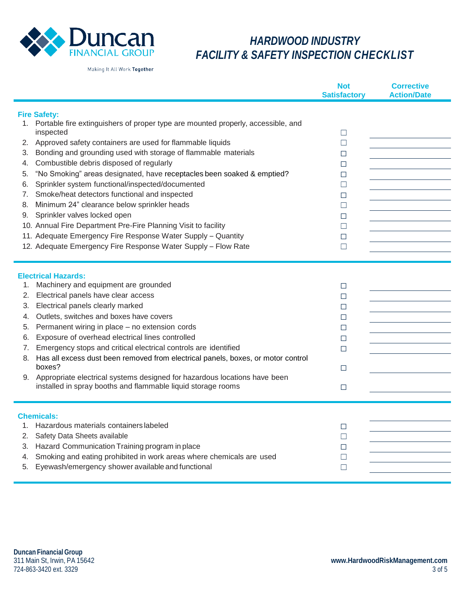

|                                                                                                                                                                                                                                                                                                                                                                                                                                                                                                                                                                                                                                                                                                                                                                                                                        | <b>Not</b><br><b>Satisfactory</b>                                                      | <b>Corrective</b><br><b>Action/Date</b> |
|------------------------------------------------------------------------------------------------------------------------------------------------------------------------------------------------------------------------------------------------------------------------------------------------------------------------------------------------------------------------------------------------------------------------------------------------------------------------------------------------------------------------------------------------------------------------------------------------------------------------------------------------------------------------------------------------------------------------------------------------------------------------------------------------------------------------|----------------------------------------------------------------------------------------|-----------------------------------------|
| <b>Fire Safety:</b><br>Portable fire extinguishers of proper type are mounted properly, accessible, and<br>1.<br>inspected<br>Approved safety containers are used for flammable liquids<br>2.<br>Bonding and grounding used with storage of flammable materials<br>3.<br>Combustible debris disposed of regularly<br>4.<br>"No Smoking" areas designated, have receptacles been soaked & emptied?<br>5.<br>Sprinkler system functional/inspected/documented<br>6.<br>Smoke/heat detectors functional and inspected<br>7.<br>Minimum 24" clearance below sprinkler heads<br>8.<br>Sprinkler valves locked open<br>9.<br>10. Annual Fire Department Pre-Fire Planning Visit to facility<br>11. Adequate Emergency Fire Response Water Supply - Quantity<br>12. Adequate Emergency Fire Response Water Supply - Flow Rate | □<br>$\Box$<br>⊔<br>$\Box$<br>⊔<br>$\Box$<br>□<br>$\Box$<br>$\Box$<br>□<br>$\Box$<br>□ |                                         |
| <b>Electrical Hazards:</b><br>Machinery and equipment are grounded<br>1.<br>Electrical panels have clear access<br>2.<br>Electrical panels clearly marked<br>3.<br>Outlets, switches and boxes have covers<br>4.<br>Permanent wiring in place - no extension cords<br>5.<br>Exposure of overhead electrical lines controlled<br>6.<br>Emergency stops and critical electrical controls are identified<br>7.<br>8. Has all excess dust been removed from electrical panels, boxes, or motor control<br>boxes?<br>9. Appropriate electrical systems designed for hazardous locations have been<br>installed in spray booths and flammable liquid storage rooms                                                                                                                                                           | □<br>$\Box$<br>□<br>□<br>$\Box$<br>⊔<br>$\Box$<br>$\Box$<br>$\Box$                     |                                         |
| <b>Chemicals:</b><br>Hazardous materials containers labeled<br>1.<br>Safety Data Sheets available<br>2.<br>Hazard Communication Training program in place<br>3.<br>Smoking and eating prohibited in work areas where chemicals are used<br>4.<br>Eyewash/emergency shower available and functional<br>5.                                                                                                                                                                                                                                                                                                                                                                                                                                                                                                               | $\Box$<br>$\Box$<br>⊔<br>П<br>$\Box$                                                   |                                         |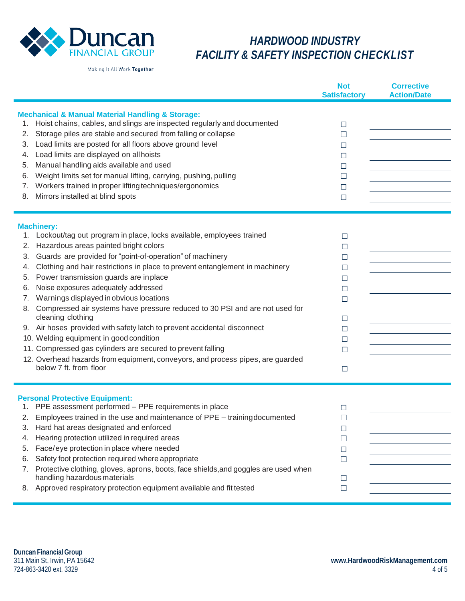

|                                                                   |                                                                                                                                                                                                                                                                                                                                                                                                                                                                                                                                                                                                                                                                                                                                                                                              | <b>Not</b><br><b>Satisfactory</b>                                       | <b>Corrective</b><br><b>Action/Date</b> |
|-------------------------------------------------------------------|----------------------------------------------------------------------------------------------------------------------------------------------------------------------------------------------------------------------------------------------------------------------------------------------------------------------------------------------------------------------------------------------------------------------------------------------------------------------------------------------------------------------------------------------------------------------------------------------------------------------------------------------------------------------------------------------------------------------------------------------------------------------------------------------|-------------------------------------------------------------------------|-----------------------------------------|
| 1.<br>2.<br>3.<br>4.<br>5.<br>6.<br>7.<br>8.                      | <b>Mechanical &amp; Manual Material Handling &amp; Storage:</b><br>Hoist chains, cables, and slings are inspected regularly and documented<br>Storage piles are stable and secured from falling or collapse<br>Load limits are posted for all floors above ground level<br>Load limits are displayed on all hoists<br>Manual handling aids available and used<br>Weight limits set for manual lifting, carrying, pushing, pulling<br>Workers trained in proper lifting techniques/ergonomics<br>Mirrors installed at blind spots                                                                                                                                                                                                                                                             | $\Box$<br>⊔<br>⊔<br>$\Box$<br>⊔<br>$\Box$<br>⊔<br>$\Box$                |                                         |
| <b>Machinery:</b><br>1.<br>2.<br>3.<br>4.<br>5.<br>6.<br>7.<br>8. | Lockout/tag out program in place, locks available, employees trained<br>Hazardous areas painted bright colors<br>Guards are provided for "point-of-operation" of machinery<br>Clothing and hair restrictions in place to prevent entanglement in machinery<br>Power transmission guards are inplace<br>Noise exposures adequately addressed<br>Warnings displayed in obvious locations<br>Compressed air systems have pressure reduced to 30 PSI and are not used for<br>cleaning clothing<br>9. Air hoses provided with safety latch to prevent accidental disconnect<br>10. Welding equipment in good condition<br>11. Compressed gas cylinders are secured to prevent falling<br>12. Overhead hazards from equipment, conveyors, and process pipes, are guarded<br>below 7 ft. from floor | □<br>$\Box$<br>□<br>□<br>□<br>□<br>$\Box$<br>□<br>□<br>□<br>□<br>$\Box$ |                                         |
| З.<br>4.<br>5.<br>6.<br>7.<br>8.                                  | <b>Personal Protective Equipment:</b><br>1. PPE assessment performed - PPE requirements in place<br>2. Employees trained in the use and maintenance of PPE - training documented<br>Hard hat areas designated and enforced<br>Hearing protection utilized in required areas<br>Face/eye protection in place where needed<br>Safety foot protection required where appropriate<br>Protective clothing, gloves, aprons, boots, face shields, and goggles are used when<br>handling hazardous materials<br>Approved respiratory protection equipment available and fit tested                                                                                                                                                                                                                   | □<br>$\Box$<br>$\Box$<br>$\Box$<br>$\Box$<br>⊔<br>⊔<br>$\Box$           |                                         |